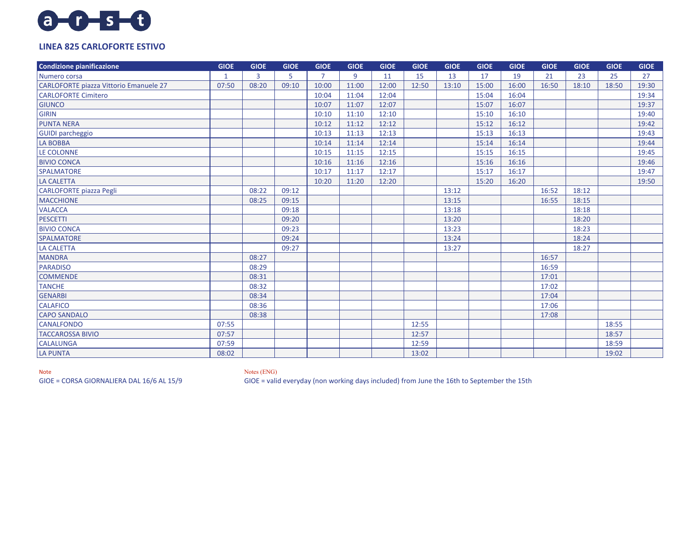## $a - 0 - 5 - 0$

## **LINEA 825 CARLOFORTE ESTIVO**

| Condizione pianificazione              | <b>GIOE</b>    | <b>GIOE</b> | <b>GIOE</b> | <b>GIOE</b>    | <b>GIOE</b> | <b>GIOE</b> | <b>GIOE</b> | <b>GIOE</b> | <b>GIOE</b> | <b>GIOE</b> | <b>GIOE</b> | <b>GIOE</b> | <b>GIOE</b> | <b>GIOE</b> |
|----------------------------------------|----------------|-------------|-------------|----------------|-------------|-------------|-------------|-------------|-------------|-------------|-------------|-------------|-------------|-------------|
| Numero corsa                           | $\overline{1}$ | 3           | 5           | $\overline{7}$ | 9           | 11          | 15          | 13          | 17          | 19          | 21          | 23          | 25          | 27          |
| CARLOFORTE piazza Vittorio Emanuele 27 | 07:50          | 08:20       | 09:10       | 10:00          | 11:00       | 12:00       | 12:50       | 13:10       | 15:00       | 16:00       | 16:50       | 18:10       | 18:50       | 19:30       |
| <b>CARLOFORTE Cimitero</b>             |                |             |             | 10:04          | 11:04       | 12:04       |             |             | 15:04       | 16:04       |             |             |             | 19:34       |
| <b>GIUNCO</b>                          |                |             |             | 10:07          | 11:07       | 12:07       |             |             | 15:07       | 16:07       |             |             |             | 19:37       |
| GIRIN                                  |                |             |             | 10:10          | 11:10       | 12:10       |             |             | 15:10       | 16:10       |             |             |             | 19:40       |
| <b>PUNTA NERA</b>                      |                |             |             | 10:12          | 11:12       | 12:12       |             |             | 15:12       | 16:12       |             |             |             | 19:42       |
| <b>GUIDI</b> parcheggio                |                |             |             | 10:13          | 11:13       | 12:13       |             |             | 15:13       | 16:13       |             |             |             | 19:43       |
| LA BOBBA                               |                |             |             | 10:14          | 11:14       | 12:14       |             |             | 15:14       | 16:14       |             |             |             | 19:44       |
| LE COLONNE                             |                |             |             | 10:15          | 11:15       | 12:15       |             |             | 15:15       | 16:15       |             |             |             | 19:45       |
| <b>BIVIO CONCA</b>                     |                |             |             | 10:16          | 11:16       | 12:16       |             |             | 15:16       | 16:16       |             |             |             | 19:46       |
| <b>SPALMATORE</b>                      |                |             |             | 10:17          | 11:17       | 12:17       |             |             | 15:17       | 16:17       |             |             |             | 19:47       |
| <b>LA CALETTA</b>                      |                |             |             | 10:20          | 11:20       | 12:20       |             |             | 15:20       | 16:20       |             |             |             | 19:50       |
| <b>CARLOFORTE</b> piazza Pegli         |                | 08:22       | 09:12       |                |             |             |             | 13:12       |             |             | 16:52       | 18:12       |             |             |
| <b>MACCHIONE</b>                       |                | 08:25       | 09:15       |                |             |             |             | 13:15       |             |             | 16:55       | 18:15       |             |             |
| <b>VALACCA</b>                         |                |             | 09:18       |                |             |             |             | 13:18       |             |             |             | 18:18       |             |             |
| <b>PESCETTI</b>                        |                |             | 09:20       |                |             |             |             | 13:20       |             |             |             | 18:20       |             |             |
| <b>BIVIO CONCA</b>                     |                |             | 09:23       |                |             |             |             | 13:23       |             |             |             | 18:23       |             |             |
| <b>SPALMATORE</b>                      |                |             | 09:24       |                |             |             |             | 13:24       |             |             |             | 18:24       |             |             |
| <b>LA CALETTA</b>                      |                |             | 09:27       |                |             |             |             | 13:27       |             |             |             | 18:27       |             |             |
| <b>MANDRA</b>                          |                | 08:27       |             |                |             |             |             |             |             |             | 16:57       |             |             |             |
| PARADISO                               |                | 08:29       |             |                |             |             |             |             |             |             | 16:59       |             |             |             |
| <b>COMMENDE</b>                        |                | 08:31       |             |                |             |             |             |             |             |             | 17:01       |             |             |             |
| <b>TANCHE</b>                          |                | 08:32       |             |                |             |             |             |             |             |             | 17:02       |             |             |             |
| <b>GENARBI</b>                         |                | 08:34       |             |                |             |             |             |             |             |             | 17:04       |             |             |             |
| <b>CALAFICO</b>                        |                | 08:36       |             |                |             |             |             |             |             |             | 17:06       |             |             |             |
| <b>CAPO SANDALO</b>                    |                | 08:38       |             |                |             |             |             |             |             |             | 17:08       |             |             |             |
| <b>CANALFONDO</b>                      | 07:55          |             |             |                |             |             | 12:55       |             |             |             |             |             | 18:55       |             |
| <b>TACCAROSSA BIVIO</b>                | 07:57          |             |             |                |             |             | 12:57       |             |             |             |             |             | 18:57       |             |
| <b>CALALUNGA</b>                       | 07:59          |             |             |                |             |             | 12:59       |             |             |             |             |             | 18:59       |             |
| <b>LA PUNTA</b>                        | 08:02          |             |             |                |             |             | 13:02       |             |             |             |             |             | 19:02       |             |

Note Notes (ENG)

GIOE = CORSA GIORNALIERA DAL 16/6 AL 15/9 GIOE = valid everyday (non working days included) from June the 16th to September the 15th